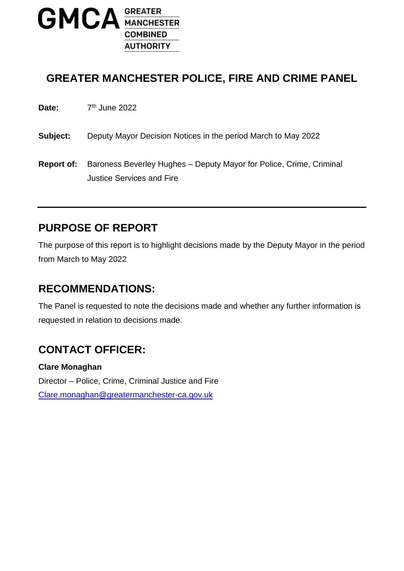

#### **GREATER MANCHESTER POLICE, FIRE AND CRIME PANEL**

Date: 7<sup>th</sup> June 2022

**Subject:** Deputy Mayor Decision Notices in the period March to May 2022

**Report of:** Baroness Beverley Hughes – Deputy Mayor for Police, Crime, Criminal Justice Services and Fire

### **PURPOSE OF REPORT**

The purpose of this report is to highlight decisions made by the Deputy Mayor in the period from March to May 2022

#### **RECOMMENDATIONS:**

The Panel is requested to note the decisions made and whether any further information is requested in relation to decisions made.

## **CONTACT OFFICER:**

**Clare Monaghan** Director – Police, Crime, Criminal Justice and Fire [Clare.monaghan@greatermanchester-ca.gov.uk](mailto:Clare.monaghan@greatermanchester-ca.gov.uk)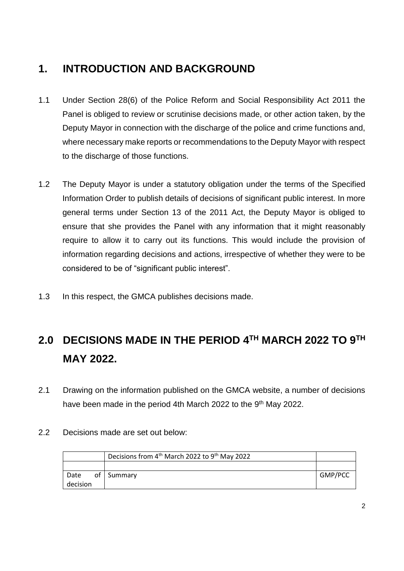# **1. INTRODUCTION AND BACKGROUND**

- 1.1 Under Section 28(6) of the Police Reform and Social Responsibility Act 2011 the Panel is obliged to review or scrutinise decisions made, or other action taken, by the Deputy Mayor in connection with the discharge of the police and crime functions and, where necessary make reports or recommendations to the Deputy Mayor with respect to the discharge of those functions.
- 1.2 The Deputy Mayor is under a statutory obligation under the terms of the Specified Information Order to publish details of decisions of significant public interest. In more general terms under Section 13 of the 2011 Act, the Deputy Mayor is obliged to ensure that she provides the Panel with any information that it might reasonably require to allow it to carry out its functions. This would include the provision of information regarding decisions and actions, irrespective of whether they were to be considered to be of "significant public interest".
- 1.3 In this respect, the GMCA publishes decisions made.

# **2.0 DECISIONS MADE IN THE PERIOD 4 TH MARCH 2022 TO 9 TH MAY 2022.**

- 2.1 Drawing on the information published on the GMCA website, a number of decisions have been made in the period 4th March 2022 to the 9<sup>th</sup> May 2022.
- 2.2 Decisions made are set out below:

|          | Decisions from 4 <sup>th</sup> March 2022 to 9 <sup>th</sup> May 2022 |         |
|----------|-----------------------------------------------------------------------|---------|
|          |                                                                       |         |
| Date     | of Summary                                                            | GMP/PCC |
| decision |                                                                       |         |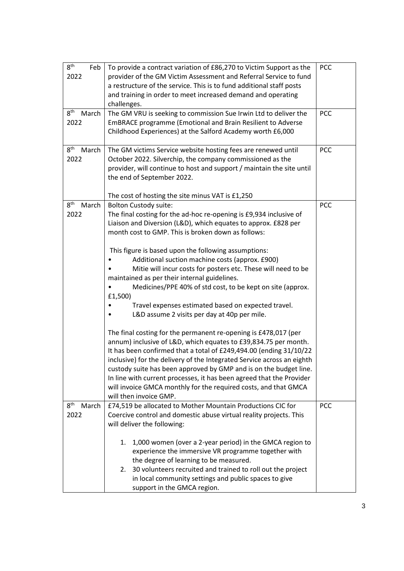| 8 <sup>th</sup><br>Feb<br>2022   | To provide a contract variation of £86,270 to Victim Support as the<br>provider of the GM Victim Assessment and Referral Service to fund<br>a restructure of the service. This is to fund additional staff posts<br>and training in order to meet increased demand and operating<br>challenges.                                                                                                                                                                                                                                                                                                                                                                                                                                                                                                                                                                                                                                                                                                                                                                                                                                                                        | <b>PCC</b> |
|----------------------------------|------------------------------------------------------------------------------------------------------------------------------------------------------------------------------------------------------------------------------------------------------------------------------------------------------------------------------------------------------------------------------------------------------------------------------------------------------------------------------------------------------------------------------------------------------------------------------------------------------------------------------------------------------------------------------------------------------------------------------------------------------------------------------------------------------------------------------------------------------------------------------------------------------------------------------------------------------------------------------------------------------------------------------------------------------------------------------------------------------------------------------------------------------------------------|------------|
| 8 <sup>th</sup><br>March<br>2022 | The GM VRU is seeking to commission Sue Irwin Ltd to deliver the<br>EmBRACE programme (Emotional and Brain Resilient to Adverse<br>Childhood Experiences) at the Salford Academy worth £6,000                                                                                                                                                                                                                                                                                                                                                                                                                                                                                                                                                                                                                                                                                                                                                                                                                                                                                                                                                                          | <b>PCC</b> |
| 8 <sup>th</sup><br>March<br>2022 | The GM victims Service website hosting fees are renewed until<br>October 2022. Silverchip, the company commissioned as the<br>provider, will continue to host and support / maintain the site until<br>the end of September 2022.<br>The cost of hosting the site minus VAT is £1,250                                                                                                                                                                                                                                                                                                                                                                                                                                                                                                                                                                                                                                                                                                                                                                                                                                                                                  | <b>PCC</b> |
| 8 <sup>th</sup><br>March<br>2022 | <b>Bolton Custody suite:</b><br>The final costing for the ad-hoc re-opening is £9,934 inclusive of<br>Liaison and Diversion (L&D), which equates to approx. £828 per<br>month cost to GMP. This is broken down as follows:<br>This figure is based upon the following assumptions:<br>Additional suction machine costs (approx. £900)<br>Mitie will incur costs for posters etc. These will need to be<br>maintained as per their internal guidelines.<br>Medicines/PPE 40% of std cost, to be kept on site (approx.<br>£1,500)<br>Travel expenses estimated based on expected travel.<br>L&D assume 2 visits per day at 40p per mile.<br>The final costing for the permanent re-opening is £478,017 (per<br>annum) inclusive of L&D, which equates to £39,834.75 per month.<br>It has been confirmed that a total of £249,494.00 (ending 31/10/22<br>inclusive) for the delivery of the Integrated Service across an eighth<br>custody suite has been approved by GMP and is on the budget line.<br>In line with current processes, it has been agreed that the Provider<br>will invoice GMCA monthly for the required costs, and that GMCA<br>will then invoice GMP. | PCC        |
| 8 <sup>th</sup><br>March<br>2022 | £74,519 be allocated to Mother Mountain Productions CIC for<br>Coercive control and domestic abuse virtual reality projects. This<br>will deliver the following:<br>1,000 women (over a 2-year period) in the GMCA region to<br>1.<br>experience the immersive VR programme together with<br>the degree of learning to be measured.<br>30 volunteers recruited and trained to roll out the project<br>2.<br>in local community settings and public spaces to give<br>support in the GMCA region.                                                                                                                                                                                                                                                                                                                                                                                                                                                                                                                                                                                                                                                                       | <b>PCC</b> |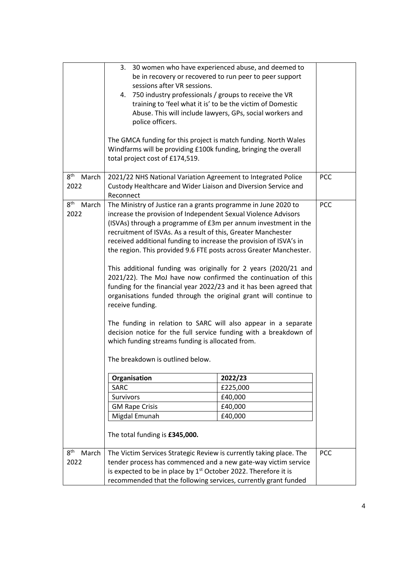|                          | 3. 30 women who have experienced abuse, and deemed to                                                                            |          |            |  |
|--------------------------|----------------------------------------------------------------------------------------------------------------------------------|----------|------------|--|
|                          | be in recovery or recovered to run peer to peer support                                                                          |          |            |  |
|                          | sessions after VR sessions.                                                                                                      |          |            |  |
|                          | 4. 750 industry professionals / groups to receive the VR                                                                         |          |            |  |
|                          | training to 'feel what it is' to be the victim of Domestic                                                                       |          |            |  |
|                          | Abuse. This will include lawyers, GPs, social workers and                                                                        |          |            |  |
|                          | police officers.                                                                                                                 |          |            |  |
|                          |                                                                                                                                  |          |            |  |
|                          | The GMCA funding for this project is match funding. North Wales                                                                  |          |            |  |
|                          | Windfarms will be providing £100k funding, bringing the overall                                                                  |          |            |  |
|                          | total project cost of £174,519.                                                                                                  |          |            |  |
|                          |                                                                                                                                  |          |            |  |
| 8 <sup>th</sup><br>March | 2021/22 NHS National Variation Agreement to Integrated Police                                                                    |          | <b>PCC</b> |  |
| 2022                     | Custody Healthcare and Wider Liaison and Diversion Service and                                                                   |          |            |  |
|                          | Reconnect                                                                                                                        |          |            |  |
| 8 <sup>th</sup><br>March | The Ministry of Justice ran a grants programme in June 2020 to                                                                   |          | <b>PCC</b> |  |
| 2022                     | increase the provision of Independent Sexual Violence Advisors                                                                   |          |            |  |
|                          | (ISVAs) through a programme of £3m per annum investment in the                                                                   |          |            |  |
|                          | recruitment of ISVAs. As a result of this, Greater Manchester                                                                    |          |            |  |
|                          | received additional funding to increase the provision of ISVA's in                                                               |          |            |  |
|                          | the region. This provided 9.6 FTE posts across Greater Manchester.                                                               |          |            |  |
|                          |                                                                                                                                  |          |            |  |
|                          | This additional funding was originally for 2 years (2020/21 and<br>2021/22). The MoJ have now confirmed the continuation of this |          |            |  |
|                          | funding for the financial year 2022/23 and it has been agreed that                                                               |          |            |  |
|                          | organisations funded through the original grant will continue to                                                                 |          |            |  |
|                          | receive funding.                                                                                                                 |          |            |  |
|                          |                                                                                                                                  |          |            |  |
|                          | The funding in relation to SARC will also appear in a separate                                                                   |          |            |  |
|                          | decision notice for the full service funding with a breakdown of                                                                 |          |            |  |
|                          | which funding streams funding is allocated from.                                                                                 |          |            |  |
|                          |                                                                                                                                  |          |            |  |
|                          | The breakdown is outlined below.                                                                                                 |          |            |  |
|                          |                                                                                                                                  |          |            |  |
|                          | Organisation                                                                                                                     |          |            |  |
|                          | SARC                                                                                                                             | £225,000 |            |  |
|                          | Survivors                                                                                                                        | £40,000  |            |  |
|                          | <b>GM Rape Crisis</b>                                                                                                            | £40,000  |            |  |
|                          | Migdal Emunah                                                                                                                    | £40,000  |            |  |
|                          |                                                                                                                                  |          |            |  |
|                          | The total funding is £345,000.                                                                                                   |          |            |  |
|                          |                                                                                                                                  |          |            |  |
| 8 <sup>th</sup><br>March | The Victim Services Strategic Review is currently taking place. The                                                              |          | <b>PCC</b> |  |
| 2022                     | tender process has commenced and a new gate-way victim service                                                                   |          |            |  |
|                          | is expected to be in place by 1 <sup>st</sup> October 2022. Therefore it is                                                      |          |            |  |
|                          | recommended that the following services, currently grant funded                                                                  |          |            |  |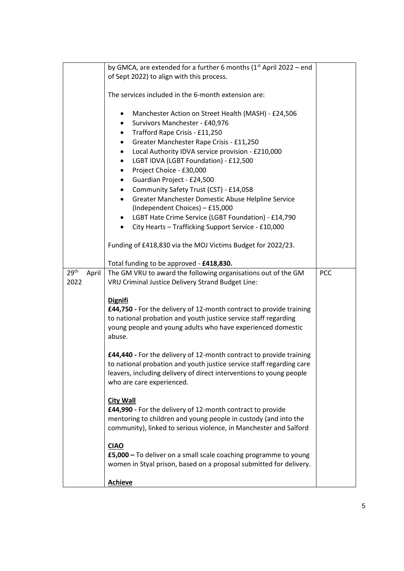|                           | by GMCA, are extended for a further 6 months $(1st$ April 2022 – end |            |
|---------------------------|----------------------------------------------------------------------|------------|
|                           | of Sept 2022) to align with this process.                            |            |
|                           |                                                                      |            |
|                           | The services included in the 6-month extension are:                  |            |
|                           |                                                                      |            |
|                           | Manchester Action on Street Health (MASH) - £24,506<br>٠             |            |
|                           | Survivors Manchester - £40,976<br>٠                                  |            |
|                           | Trafford Rape Crisis - £11,250<br>٠                                  |            |
|                           | Greater Manchester Rape Crisis - £11,250<br>$\bullet$                |            |
|                           | Local Authority IDVA service provision - £210,000<br>٠               |            |
|                           | LGBT IDVA (LGBT Foundation) - £12,500<br>٠                           |            |
|                           | Project Choice - £30,000<br>$\bullet$                                |            |
|                           | Guardian Project - £24,500<br>٠                                      |            |
|                           | Community Safety Trust (CST) - £14,058<br>٠                          |            |
|                           | Greater Manchester Domestic Abuse Helpline Service<br>$\bullet$      |            |
|                           | (Independent Choices) - £15,000                                      |            |
|                           | LGBT Hate Crime Service (LGBT Foundation) - £14,790<br>٠             |            |
|                           | City Hearts - Trafficking Support Service - £10,000<br>$\bullet$     |            |
|                           |                                                                      |            |
|                           | Funding of £418,830 via the MOJ Victims Budget for 2022/23.          |            |
|                           | Total funding to be approved - £418,830.                             |            |
| 29 <sup>th</sup><br>April | The GM VRU to award the following organisations out of the GM        | <b>PCC</b> |
| 2022                      | VRU Criminal Justice Delivery Strand Budget Line:                    |            |
|                           |                                                                      |            |
|                           | <b>Dignifi</b>                                                       |            |
|                           | £44,750 - For the delivery of 12-month contract to provide training  |            |
|                           | to national probation and youth justice service staff regarding      |            |
|                           | young people and young adults who have experienced domestic          |            |
|                           | abuse.                                                               |            |
|                           |                                                                      |            |
|                           | £44,440 - For the delivery of 12-month contract to provide training  |            |
|                           | to national probation and youth justice service staff regarding care |            |
|                           | leavers, including delivery of direct interventions to young people  |            |
|                           | who are care experienced.                                            |            |
|                           | <b>City Wall</b>                                                     |            |
|                           | £44,990 - For the delivery of 12-month contract to provide           |            |
|                           | mentoring to children and young people in custody (and into the      |            |
|                           | community), linked to serious violence, in Manchester and Salford    |            |
|                           |                                                                      |            |
|                           | <b>CIAO</b>                                                          |            |
|                           | £5,000 - To deliver on a small scale coaching programme to young     |            |
|                           | women in Styal prison, based on a proposal submitted for delivery.   |            |
|                           |                                                                      |            |
|                           | <b>Achieve</b>                                                       |            |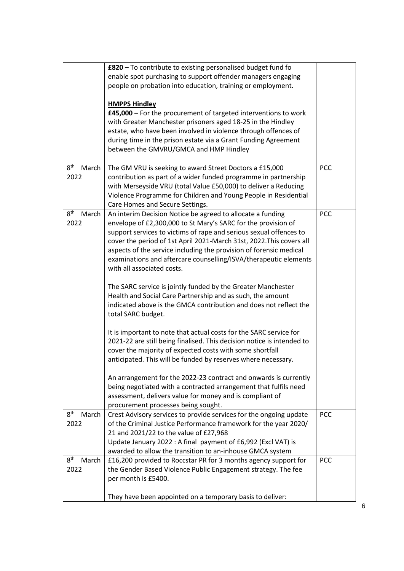|                                  | £820 - To contribute to existing personalised budget fund fo<br>enable spot purchasing to support offender managers engaging<br>people on probation into education, training or employment.<br><b>HMPPS Hindley</b><br>£45,000 – For the procurement of targeted interventions to work<br>with Greater Manchester prisoners aged 18-25 in the Hindley<br>estate, who have been involved in violence through offences of<br>during time in the prison estate via a Grant Funding Agreement<br>between the GMVRU/GMCA and HMP Hindley                                                                                                                                                                                                                                                                                                                                                                                                                                                                                                                                                                                                                                                                |            |
|----------------------------------|----------------------------------------------------------------------------------------------------------------------------------------------------------------------------------------------------------------------------------------------------------------------------------------------------------------------------------------------------------------------------------------------------------------------------------------------------------------------------------------------------------------------------------------------------------------------------------------------------------------------------------------------------------------------------------------------------------------------------------------------------------------------------------------------------------------------------------------------------------------------------------------------------------------------------------------------------------------------------------------------------------------------------------------------------------------------------------------------------------------------------------------------------------------------------------------------------|------------|
| 8 <sup>th</sup><br>March         | The GM VRU is seeking to award Street Doctors a £15,000                                                                                                                                                                                                                                                                                                                                                                                                                                                                                                                                                                                                                                                                                                                                                                                                                                                                                                                                                                                                                                                                                                                                            | <b>PCC</b> |
| 2022                             | contribution as part of a wider funded programme in partnership<br>with Merseyside VRU (total Value £50,000) to deliver a Reducing<br>Violence Programme for Children and Young People in Residential<br>Care Homes and Secure Settings.                                                                                                                                                                                                                                                                                                                                                                                                                                                                                                                                                                                                                                                                                                                                                                                                                                                                                                                                                           |            |
| 8 <sup>th</sup><br>March<br>2022 | An interim Decision Notice be agreed to allocate a funding<br>envelope of £2,300,000 to St Mary's SARC for the provision of<br>support services to victims of rape and serious sexual offences to<br>cover the period of 1st April 2021-March 31st, 2022. This covers all<br>aspects of the service including the provision of forensic medical<br>examinations and aftercare counselling/ISVA/therapeutic elements<br>with all associated costs.<br>The SARC service is jointly funded by the Greater Manchester<br>Health and Social Care Partnership and as such, the amount<br>indicated above is the GMCA contribution and does not reflect the<br>total SARC budget.<br>It is important to note that actual costs for the SARC service for<br>2021-22 are still being finalised. This decision notice is intended to<br>cover the majority of expected costs with some shortfall<br>anticipated. This will be funded by reserves where necessary.<br>An arrangement for the 2022-23 contract and onwards is currently<br>being negotiated with a contracted arrangement that fulfils need<br>assessment, delivers value for money and is compliant of<br>procurement processes being sought. | PCC        |
| 8 <sup>th</sup><br>March<br>2022 | Crest Advisory services to provide services for the ongoing update<br>of the Criminal Justice Performance framework for the year 2020/<br>21 and 2021/22 to the value of £27,968<br>Update January 2022 : A final payment of £6,992 (Excl VAT) is<br>awarded to allow the transition to an-inhouse GMCA system                                                                                                                                                                                                                                                                                                                                                                                                                                                                                                                                                                                                                                                                                                                                                                                                                                                                                     | <b>PCC</b> |
| 8 <sup>th</sup><br>March<br>2022 | £16,200 provided to Roccstar PR for 3 months agency support for<br>the Gender Based Violence Public Engagement strategy. The fee<br>per month is £5400.<br>They have been appointed on a temporary basis to deliver:                                                                                                                                                                                                                                                                                                                                                                                                                                                                                                                                                                                                                                                                                                                                                                                                                                                                                                                                                                               | <b>PCC</b> |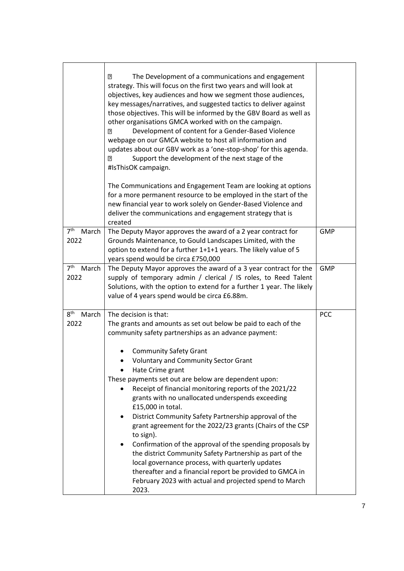|                                  | $\overline{2}$<br>The Development of a communications and engagement<br>strategy. This will focus on the first two years and will look at<br>objectives, key audiences and how we segment those audiences,<br>key messages/narratives, and suggested tactics to deliver against<br>those objectives. This will be informed by the GBV Board as well as<br>other organisations GMCA worked with on the campaign.<br>Development of content for a Gender-Based Violence<br>R<br>webpage on our GMCA website to host all information and<br>updates about our GBV work as a 'one-stop-shop' for this agenda.<br>Support the development of the next stage of the<br>$\overline{2}$<br>#IsThisOK campaign.<br>The Communications and Engagement Team are looking at options<br>for a more permanent resource to be employed in the start of the<br>new financial year to work solely on Gender-Based Violence and<br>deliver the communications and engagement strategy that is |            |
|----------------------------------|-----------------------------------------------------------------------------------------------------------------------------------------------------------------------------------------------------------------------------------------------------------------------------------------------------------------------------------------------------------------------------------------------------------------------------------------------------------------------------------------------------------------------------------------------------------------------------------------------------------------------------------------------------------------------------------------------------------------------------------------------------------------------------------------------------------------------------------------------------------------------------------------------------------------------------------------------------------------------------|------------|
| 7 <sup>th</sup><br>March         | created<br>The Deputy Mayor approves the award of a 2 year contract for                                                                                                                                                                                                                                                                                                                                                                                                                                                                                                                                                                                                                                                                                                                                                                                                                                                                                                     | <b>GMP</b> |
| 2022                             | Grounds Maintenance, to Gould Landscapes Limited, with the<br>option to extend for a further 1+1+1 years. The likely value of 5<br>years spend would be circa £750,000                                                                                                                                                                                                                                                                                                                                                                                                                                                                                                                                                                                                                                                                                                                                                                                                      |            |
| 7 <sup>th</sup><br>March<br>2022 | The Deputy Mayor approves the award of a 3 year contract for the<br>supply of temporary admin / clerical / IS roles, to Reed Talent<br>Solutions, with the option to extend for a further 1 year. The likely<br>value of 4 years spend would be circa £6.88m.                                                                                                                                                                                                                                                                                                                                                                                                                                                                                                                                                                                                                                                                                                               | <b>GMP</b> |
| $8^{\text{th}}$<br>March<br>2022 | The decision is that:<br>The grants and amounts as set out below be paid to each of the<br>community safety partnerships as an advance payment:<br><b>Community Safety Grant</b><br><b>Voluntary and Community Sector Grant</b><br>Hate Crime grant<br>These payments set out are below are dependent upon:<br>Receipt of financial monitoring reports of the 2021/22<br>grants with no unallocated underspends exceeding<br>£15,000 in total.<br>District Community Safety Partnership approval of the<br>٠<br>grant agreement for the 2022/23 grants (Chairs of the CSP<br>to sign).<br>Confirmation of the approval of the spending proposals by<br>the district Community Safety Partnership as part of the<br>local governance process, with quarterly updates<br>thereafter and a financial report be provided to GMCA in<br>February 2023 with actual and projected spend to March<br>2023.                                                                          | <b>PCC</b> |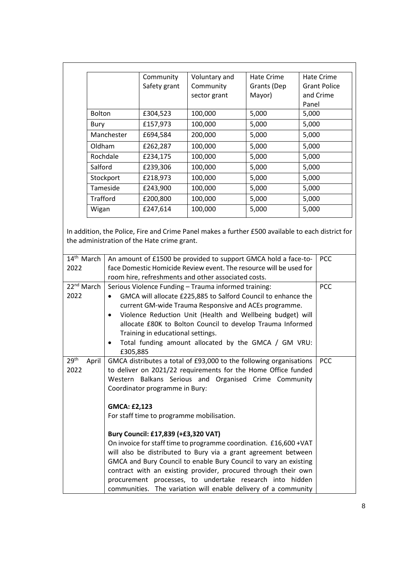|               | Community    | Voluntary and | Hate Crime  | Hate Crime          |
|---------------|--------------|---------------|-------------|---------------------|
|               | Safety grant | Community     | Grants (Dep | <b>Grant Police</b> |
|               |              | sector grant  | Mayor)      | and Crime           |
|               |              |               |             | Panel               |
| <b>Bolton</b> | £304,523     | 100,000       | 5,000       | 5,000               |
| Bury          | £157,973     | 100,000       | 5,000       | 5,000               |
| Manchester    | £694,584     | 200,000       | 5,000       | 5,000               |
| Oldham        | £262,287     | 100,000       | 5,000       | 5,000               |
| Rochdale      | £234,175     | 100,000       | 5,000       | 5,000               |
| Salford       | £239,306     | 100,000       | 5,000       | 5,000               |
| Stockport     | £218,973     | 100,000       | 5,000       | 5,000               |
| Tameside      | £243,900     | 100,000       | 5,000       | 5,000               |
| Trafford      | £200,800     | 100,000       | 5,000       | 5,000               |
| Wigan         | £247,614     | 100,000       | 5,000       | 5,000               |

In addition, the Police, Fire and Crime Panel makes a further £500 available to each district for the administration of the Hate crime grant.

| 14 <sup>th</sup> March    | An amount of £1500 be provided to support GMCA hold a face-to-     | <b>PCC</b> |  |
|---------------------------|--------------------------------------------------------------------|------------|--|
| 2022                      | face Domestic Homicide Review event. The resource will be used for |            |  |
|                           | room hire, refreshments and other associated costs.                |            |  |
| 22 <sup>nd</sup> March    | Serious Violence Funding - Trauma informed training:               | PCC        |  |
| 2022                      | GMCA will allocate £225,885 to Salford Council to enhance the      |            |  |
|                           | current GM-wide Trauma Responsive and ACEs programme.              |            |  |
|                           | Violence Reduction Unit (Health and Wellbeing budget) will         |            |  |
|                           | allocate £80K to Bolton Council to develop Trauma Informed         |            |  |
|                           | Training in educational settings.                                  |            |  |
|                           | Total funding amount allocated by the GMCA / GM VRU:<br>$\bullet$  |            |  |
|                           | £305,885                                                           |            |  |
| 29 <sup>th</sup><br>April | GMCA distributes a total of £93,000 to the following organisations | <b>PCC</b> |  |
| 2022                      | to deliver on 2021/22 requirements for the Home Office funded      |            |  |
|                           | Western Balkans Serious and Organised Crime Community              |            |  |
|                           | Coordinator programme in Bury:                                     |            |  |
|                           |                                                                    |            |  |
|                           | <b>GMCA: £2,123</b>                                                |            |  |
|                           | For staff time to programme mobilisation.                          |            |  |
|                           |                                                                    |            |  |
|                           | Bury Council: £17,839 (+£3,320 VAT)                                |            |  |
|                           | On invoice for staff time to programme coordination. £16,600 + VAT |            |  |
|                           | will also be distributed to Bury via a grant agreement between     |            |  |
|                           | GMCA and Bury Council to enable Bury Council to vary an existing   |            |  |
|                           | contract with an existing provider, procured through their own     |            |  |
|                           | procurement processes, to undertake research into hidden           |            |  |
|                           | communities. The variation will enable delivery of a community     |            |  |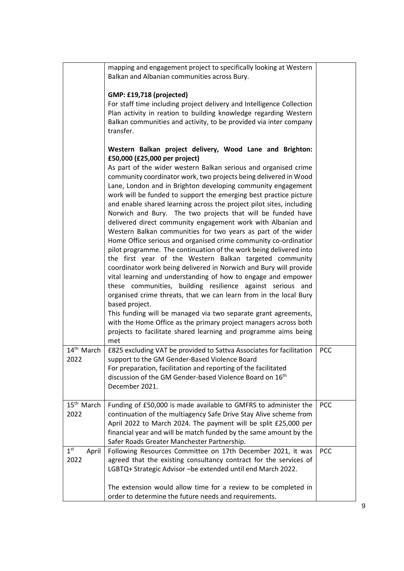|                                  | mapping and engagement project to specifically looking at Western<br>Balkan and Albanian communities across Bury.                                                                                                                                                                                                                                                                                                                                                                                                                                                                                                                                                                                                                                                                                                                                                                                                                                                                                                                                                                                                                                                                                                                                                                                                                                             |            |
|----------------------------------|---------------------------------------------------------------------------------------------------------------------------------------------------------------------------------------------------------------------------------------------------------------------------------------------------------------------------------------------------------------------------------------------------------------------------------------------------------------------------------------------------------------------------------------------------------------------------------------------------------------------------------------------------------------------------------------------------------------------------------------------------------------------------------------------------------------------------------------------------------------------------------------------------------------------------------------------------------------------------------------------------------------------------------------------------------------------------------------------------------------------------------------------------------------------------------------------------------------------------------------------------------------------------------------------------------------------------------------------------------------|------------|
|                                  | GMP: £19,718 (projected)<br>For staff time including project delivery and Intelligence Collection<br>Plan activity in reation to building knowledge regarding Western<br>Balkan communities and activity, to be provided via inter company<br>transfer.                                                                                                                                                                                                                                                                                                                                                                                                                                                                                                                                                                                                                                                                                                                                                                                                                                                                                                                                                                                                                                                                                                       |            |
|                                  | Western Balkan project delivery, Wood Lane and Brighton:<br>£50,000 (£25,000 per project)<br>As part of the wider western Balkan serious and organised crime<br>community coordinator work, two projects being delivered in Wood<br>Lane, London and in Brighton developing community engagement<br>work will be funded to support the emerging best practice picture<br>and enable shared learning across the project pilot sites, including<br>Norwich and Bury. The two projects that will be funded have<br>delivered direct community engagement work with Albanian and<br>Western Balkan communities for two years as part of the wider<br>Home Office serious and organised crime community co-ordinatior<br>pilot programme. The continuation of the work being delivered into<br>the first year of the Western Balkan targeted community<br>coordinator work being delivered in Norwich and Bury will provide<br>vital learning and understanding of how to engage and empower<br>these communities, building resilience against serious and<br>organised crime threats, that we can learn from in the local Bury<br>based project.<br>This funding will be managed via two separate grant agreements,<br>with the Home Office as the primary project managers across both<br>projects to facilitate shared learning and programme aims being<br>met |            |
| 14 <sup>th</sup> March<br>2022   | £825 excluding VAT be provided to Sattva Associates for facilitation<br>support to the GM Gender-Based Violence Board<br>For preparation, facilitation and reporting of the facilitated<br>discussion of the GM Gender-based Violence Board on 16 <sup>th</sup><br>December 2021.                                                                                                                                                                                                                                                                                                                                                                                                                                                                                                                                                                                                                                                                                                                                                                                                                                                                                                                                                                                                                                                                             | <b>PCC</b> |
| 15 <sup>th</sup> March<br>2022   | Funding of £50,000 is made available to GMFRS to administer the<br>continuation of the multiagency Safe Drive Stay Alive scheme from<br>April 2022 to March 2024. The payment will be split £25,000 per<br>financial year and will be match funded by the same amount by the<br>Safer Roads Greater Manchester Partnership.                                                                                                                                                                                                                                                                                                                                                                                                                                                                                                                                                                                                                                                                                                                                                                                                                                                                                                                                                                                                                                   | <b>PCC</b> |
| 1 <sup>st</sup><br>April<br>2022 | Following Resources Committee on 17th December 2021, it was<br>agreed that the existing consultancy contract for the services of<br>LGBTQ+ Strategic Advisor -be extended until end March 2022.<br>The extension would allow time for a review to be completed in<br>order to determine the future needs and requirements.                                                                                                                                                                                                                                                                                                                                                                                                                                                                                                                                                                                                                                                                                                                                                                                                                                                                                                                                                                                                                                    | <b>PCC</b> |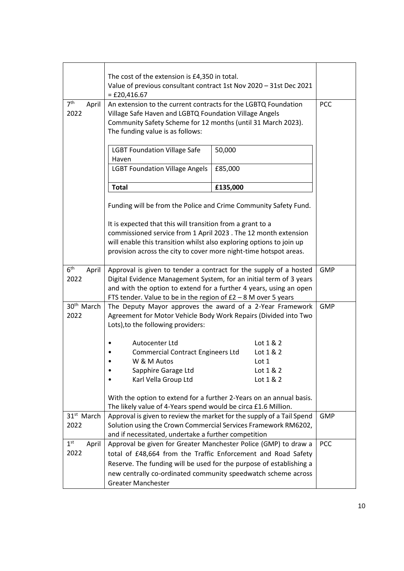|                                  | The cost of the extension is £4,350 in total.<br>Value of previous consultant contract 1st Nov 2020 - 31st Dec 2021<br>$=$ £20,416.67                                                                                                                                                                 |                        |            |
|----------------------------------|-------------------------------------------------------------------------------------------------------------------------------------------------------------------------------------------------------------------------------------------------------------------------------------------------------|------------------------|------------|
| 7 <sup>th</sup><br>April<br>2022 | An extension to the current contracts for the LGBTQ Foundation<br>Village Safe Haven and LGBTQ Foundation Village Angels<br>Community Safety Scheme for 12 months (until 31 March 2023).<br>The funding value is as follows:                                                                          |                        | <b>PCC</b> |
|                                  | <b>LGBT Foundation Village Safe</b><br>Haven                                                                                                                                                                                                                                                          | 50,000                 |            |
|                                  | <b>LGBT Foundation Village Angels</b>                                                                                                                                                                                                                                                                 | £85,000                |            |
|                                  | <b>Total</b>                                                                                                                                                                                                                                                                                          | £135,000               |            |
|                                  | Funding will be from the Police and Crime Community Safety Fund.                                                                                                                                                                                                                                      |                        |            |
|                                  | It is expected that this will transition from a grant to a<br>commissioned service from 1 April 2023 . The 12 month extension<br>will enable this transition whilst also exploring options to join up<br>provision across the city to cover more night-time hotspot areas.                            |                        |            |
| 6 <sup>th</sup><br>April<br>2022 | Approval is given to tender a contract for the supply of a hosted<br>Digital Evidence Management System, for an initial term of 3 years<br>and with the option to extend for a further 4 years, using an open<br>FTS tender. Value to be in the region of $E2 - 8$ M over 5 years                     |                        | <b>GMP</b> |
| 30 <sup>th</sup> March<br>2022   | The Deputy Mayor approves the award of a 2-Year Framework<br>Agreement for Motor Vehicle Body Work Repairs (Divided into Two<br>Lots), to the following providers:                                                                                                                                    |                        |            |
|                                  | Autocenter Ltd                                                                                                                                                                                                                                                                                        | Lot $1 & 2$            |            |
|                                  | <b>Commercial Contract Engineers Ltd</b>                                                                                                                                                                                                                                                              | Lot 1 & 2              |            |
|                                  | W & M Autos                                                                                                                                                                                                                                                                                           | Lot 1                  |            |
|                                  | Sapphire Garage Ltd<br>Karl Vella Group Ltd                                                                                                                                                                                                                                                           | Lot 1 & 2<br>Lot 1 & 2 |            |
|                                  | With the option to extend for a further 2-Years on an annual basis.<br>The likely value of 4-Years spend would be circa £1.6 Million.                                                                                                                                                                 |                        |            |
| 31 <sup>st</sup> March<br>2022   | Approval is given to review the market for the supply of a Tail Spend<br>Solution using the Crown Commercial Services Framework RM6202,<br>and if necessitated, undertake a further competition                                                                                                       |                        | <b>GMP</b> |
| 1 <sup>st</sup><br>April<br>2022 | Approval be given for Greater Manchester Police (GMP) to draw a<br>total of £48,664 from the Traffic Enforcement and Road Safety<br>Reserve. The funding will be used for the purpose of establishing a<br>new centrally co-ordinated community speedwatch scheme across<br><b>Greater Manchester</b> |                        | PCC        |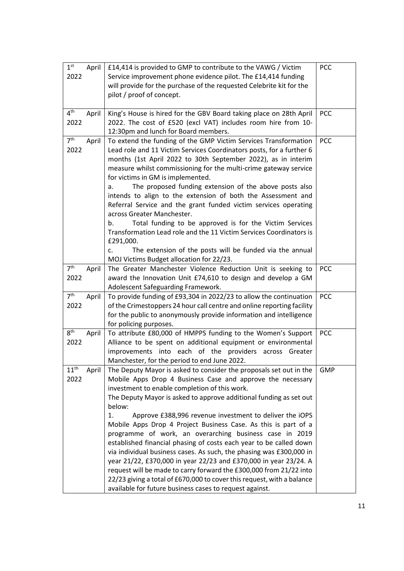| 1 <sup>st</sup>  |       |                                                                           |            |
|------------------|-------|---------------------------------------------------------------------------|------------|
|                  | April | £14,414 is provided to GMP to contribute to the VAWG / Victim             | PCC        |
| 2022             |       | Service improvement phone evidence pilot. The £14,414 funding             |            |
|                  |       | will provide for the purchase of the requested Celebrite kit for the      |            |
|                  |       | pilot / proof of concept.                                                 |            |
|                  |       |                                                                           |            |
| $4^{\text{th}}$  | April | King's House is hired for the GBV Board taking place on 28th April        | <b>PCC</b> |
| 2022             |       | 2022. The cost of £520 (excl VAT) includes room hire from 10-             |            |
|                  |       | 12:30pm and lunch for Board members.                                      |            |
| 7 <sup>th</sup>  | April | To extend the funding of the GMP Victim Services Transformation           | <b>PCC</b> |
| 2022             |       | Lead role and 11 Victim Services Coordinators posts, for a further 6      |            |
|                  |       | months (1st April 2022 to 30th September 2022), as in interim             |            |
|                  |       | measure whilst commissioning for the multi-crime gateway service          |            |
|                  |       | for victims in GM is implemented.                                         |            |
|                  |       | The proposed funding extension of the above posts also<br>a.              |            |
|                  |       | intends to align to the extension of both the Assessment and              |            |
|                  |       | Referral Service and the grant funded victim services operating           |            |
|                  |       | across Greater Manchester.                                                |            |
|                  |       | Total funding to be approved is for the Victim Services                   |            |
|                  |       | b.<br>Transformation Lead role and the 11 Victim Services Coordinators is |            |
|                  |       |                                                                           |            |
|                  |       | £291,000.                                                                 |            |
|                  |       | The extension of the posts will be funded via the annual<br>c.            |            |
|                  |       | MOJ Victims Budget allocation for 22/23.                                  |            |
| 7 <sup>th</sup>  | April | The Greater Manchester Violence Reduction Unit is seeking to              | <b>PCC</b> |
| 2022             |       | award the Innovation Unit £74,610 to design and develop a GM              |            |
|                  |       | Adolescent Safeguarding Framework.                                        |            |
| 7 <sup>th</sup>  | April | To provide funding of £93,304 in 2022/23 to allow the continuation        | <b>PCC</b> |
| 2022             |       | of the Crimestoppers 24 hour call centre and online reporting facility    |            |
|                  |       | for the public to anonymously provide information and intelligence        |            |
|                  |       | for policing purposes.                                                    |            |
| 8 <sup>th</sup>  | April | To attribute £80,000 of HMPPS funding to the Women's Support              | <b>PCC</b> |
| 2022             |       | Alliance to be spent on additional equipment or environmental             |            |
|                  |       | improvements into each of the providers across<br>Greater                 |            |
|                  |       | Manchester, for the period to end June 2022.                              |            |
| 11 <sup>th</sup> | April | The Deputy Mayor is asked to consider the proposals set out in the        | <b>GMP</b> |
| 2022             |       | Mobile Apps Drop 4 Business Case and approve the necessary                |            |
|                  |       | investment to enable completion of this work.                             |            |
|                  |       | The Deputy Mayor is asked to approve additional funding as set out        |            |
|                  |       | below:                                                                    |            |
|                  |       | Approve £388,996 revenue investment to deliver the iOPS<br>1.             |            |
|                  |       | Mobile Apps Drop 4 Project Business Case. As this is part of a            |            |
|                  |       |                                                                           |            |
|                  |       | programme of work, an overarching business case in 2019                   |            |
|                  |       | established financial phasing of costs each year to be called down        |            |
|                  |       | via individual business cases. As such, the phasing was £300,000 in       |            |
|                  |       | year 21/22, £370,000 in year 22/23 and £370,000 in year 23/24. A          |            |
|                  |       | request will be made to carry forward the £300,000 from 21/22 into        |            |
|                  |       | 22/23 giving a total of £670,000 to cover this request, with a balance    |            |
|                  |       | available for future business cases to request against.                   |            |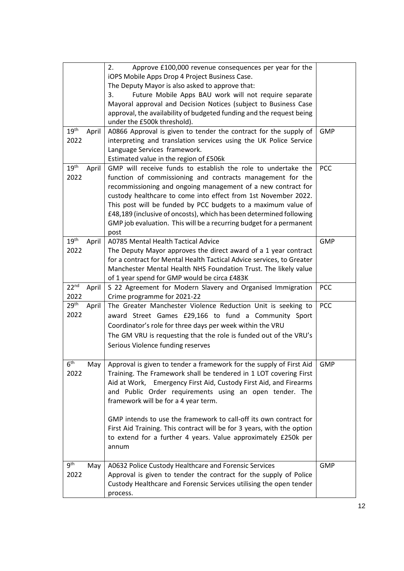|                                   | Approve £100,000 revenue consequences per year for the<br>2.<br>iOPS Mobile Apps Drop 4 Project Business Case.<br>The Deputy Mayor is also asked to approve that:<br>Future Mobile Apps BAU work will not require separate<br>3.<br>Mayoral approval and Decision Notices (subject to Business Case<br>approval, the availability of budgeted funding and the request being<br>under the £500k threshold).                                                                                                                                       |            |
|-----------------------------------|--------------------------------------------------------------------------------------------------------------------------------------------------------------------------------------------------------------------------------------------------------------------------------------------------------------------------------------------------------------------------------------------------------------------------------------------------------------------------------------------------------------------------------------------------|------------|
| 19 <sup>th</sup><br>April<br>2022 | A0866 Approval is given to tender the contract for the supply of<br>interpreting and translation services using the UK Police Service<br>Language Services framework.<br>Estimated value in the region of £506k                                                                                                                                                                                                                                                                                                                                  | <b>GMP</b> |
| 19 <sup>th</sup><br>April<br>2022 | GMP will receive funds to establish the role to undertake the<br>function of commissioning and contracts management for the<br>recommissioning and ongoing management of a new contract for<br>custody healthcare to come into effect from 1st November 2022.<br>This post will be funded by PCC budgets to a maximum value of<br>£48,189 (inclusive of oncosts), which has been determined following<br>GMP job evaluation. This will be a recurring budget for a permanent<br>post                                                             | <b>PCC</b> |
| 19 <sup>th</sup><br>April<br>2022 | A0785 Mental Health Tactical Advice<br>The Deputy Mayor approves the direct award of a 1 year contract<br>for a contract for Mental Health Tactical Advice services, to Greater<br>Manchester Mental Health NHS Foundation Trust. The likely value<br>of 1 year spend for GMP would be circa £483K                                                                                                                                                                                                                                               | <b>GMP</b> |
| 22 <sup>nd</sup><br>April<br>2022 | S 22 Agreement for Modern Slavery and Organised Immigration<br>Crime programme for 2021-22                                                                                                                                                                                                                                                                                                                                                                                                                                                       | <b>PCC</b> |
| 29 <sup>th</sup><br>April<br>2022 | The Greater Manchester Violence Reduction Unit is seeking to<br>award Street Games £29,166 to fund a Community Sport<br>Coordinator's role for three days per week within the VRU<br>The GM VRU is requesting that the role is funded out of the VRU's<br>Serious Violence funding reserves                                                                                                                                                                                                                                                      | PCC        |
| 6 <sup>th</sup><br>2022           | May   Approval is given to tender a framework for the supply of First Aid<br>Training. The Framework shall be tendered in 1 LOT covering First<br>Aid at Work, Emergency First Aid, Custody First Aid, and Firearms<br>and Public Order requirements using an open tender. The<br>framework will be for a 4 year term.<br>GMP intends to use the framework to call-off its own contract for<br>First Aid Training. This contract will be for 3 years, with the option<br>to extend for a further 4 years. Value approximately £250k per<br>annum | GMP        |
| 9 <sup>th</sup><br>May<br>2022    | A0632 Police Custody Healthcare and Forensic Services<br>Approval is given to tender the contract for the supply of Police<br>Custody Healthcare and Forensic Services utilising the open tender<br>process.                                                                                                                                                                                                                                                                                                                                     | <b>GMP</b> |